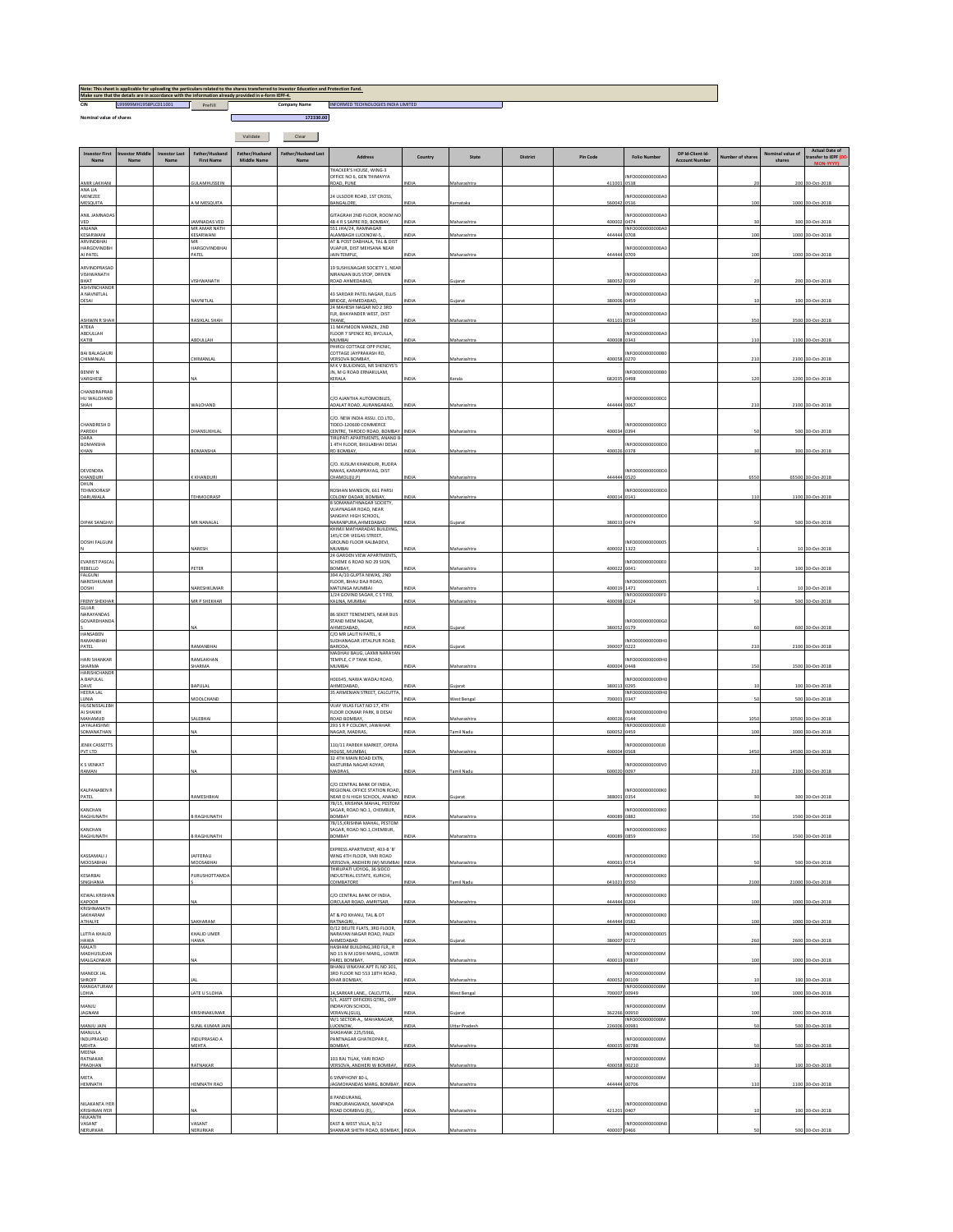| CIN                                               | L99999MH1958PLC011001 |                              | Prefill                                | Note: This sheet is applicable for uploading the particulars related to the shares transferred to investor Education and Protection Fund.<br>Make sure that the details are in accordance with the information already provided in e-form IEPF-4. | Company Name                | INFORMED TECHNOLOGIES INDIA LIMITED                                                       |               |                           |          |                        |                                          |                                           |                    |                        |                                              |
|---------------------------------------------------|-----------------------|------------------------------|----------------------------------------|---------------------------------------------------------------------------------------------------------------------------------------------------------------------------------------------------------------------------------------------------|-----------------------------|-------------------------------------------------------------------------------------------|---------------|---------------------------|----------|------------------------|------------------------------------------|-------------------------------------------|--------------------|------------------------|----------------------------------------------|
| Nominal value of shares                           |                       |                              |                                        | 172330.00                                                                                                                                                                                                                                         |                             |                                                                                           |               |                           |          |                        |                                          |                                           |                    |                        |                                              |
|                                                   |                       |                              |                                        | Validate                                                                                                                                                                                                                                          | Clear                       |                                                                                           |               |                           |          |                        |                                          |                                           |                    |                        |                                              |
| <b>Investor First</b><br>Name                     | westor Mido<br>Name   | <b>Investor Last</b><br>Name | Father/Husband<br><b>First Name</b>    | Father/Husband<br>Middle Name                                                                                                                                                                                                                     | Father/Husband Last<br>Name | Address                                                                                   | Country       | State                     | District | <b>Pin Code</b>        | <b>Folio Number</b>                      | DP Id-Client Id-<br><b>Account Number</b> | Number of shares   | nal value of<br>shares | <b>Actual Date of</b><br>transfer to IEPF (I |
|                                                   |                       |                              |                                        |                                                                                                                                                                                                                                                   |                             | HACKER'S HOUSE, WING-3<br>OFFICE NO 6, GEN THIMAYYA                                       |               |                           |          |                        | NFO0000000000A                           |                                           |                    |                        |                                              |
| AMIR LAKHANI<br>ANA LIA<br>MENEZEE                |                       |                              | <b>GULAMHUSSEIN</b>                    |                                                                                                                                                                                                                                                   |                             | ROAD, PUNE<br>24 ULSOOR ROAD, 1ST CROSS,                                                  | NDIA          | Maharashtra               |          | 411001 0538            | NFO0000000000A0                          |                                           | $\overline{ }$     |                        | 200 30-Oct-2018                              |
| MESQUITA<br>ANIL JAMNADAS                         |                       |                              | M MESQUITA                             |                                                                                                                                                                                                                                                   |                             | BANGALORE,<br>GITAGRAH 2ND FLOOR, ROOM NO                                                 | NDIA          | Karnataka                 |          | 560042 0536            | NFO0000000000A0                          |                                           | 100                |                        | 1000 30-Oct-2018                             |
| VED<br>ANJANA                                     |                       |                              | JAMNADAS VED<br>MR AMAR NATH           |                                                                                                                                                                                                                                                   |                             | 48 4 R S SAPRE RD, BOMBAY,<br>551 JHA/24, RAMNAGAR                                        | INDIA         | Maharashtra               |          | 400002 0474            | INFO0000000000A0                         |                                           | $\overline{3}$     |                        | 300 30-Oct-2018                              |
| KESARWANI<br><b>ARVINDRHAI</b><br>HARGOVINDRH     |                       |                              | KESARWANI<br>MR<br>HARGOVINDBHAI       |                                                                                                                                                                                                                                                   |                             | <b>MAMBAGH LUCKNOW-S,</b><br>AT & POST DARHALA TAL & DIST<br>VIIAPUR DIST MEHSANA NEAR    | NDIA          | Maharashtra               |          | 444444 0708            | NEODDDDDDDDDAD                           |                                           | 100                |                        | 1000 30-Oct-2018                             |
| AI PATEL<br>ARVINDPRASAD                          |                       |                              | PATEL                                  |                                                                                                                                                                                                                                                   |                             | JAIN TEMPLE,<br>19 SUSHILNAGAR SOCIETY 1, NEAP                                            | <b>NDIA</b>   | Maharashtra               |          | 444444 0709            |                                          |                                           | 10                 |                        | 1000 30-Oct-2018                             |
| VISHWANATH<br>BHAT                                |                       |                              | VISHWANATH                             |                                                                                                                                                                                                                                                   |                             | NIRANJAN BUS STOP, DRIVEN<br>ROAD AHMEDARAD                                               | <b>NDIA</b>   | Guiarat                   |          | 380052 0199            | NFO0000000000A                           |                                           |                    |                        | 200 30-Oct-2018                              |
| <b>ASHVINCHANDR</b><br>A NAVNITLAL<br>DESAI       |                       |                              | NAVNITLAL                              |                                                                                                                                                                                                                                                   |                             | 43 SARDAR PATEL NAGAR, ELLIS<br>BRIDGE, AHMEDABAD,                                        | NDIA          | Gujarat                   |          | 380006 0459            | NFO0000000000A0                          |                                           |                    |                        | 100 30-Oct-2018                              |
|                                                   |                       |                              | RASIKLAL SHAH                          |                                                                                                                                                                                                                                                   |                             | 24 MAHESH NAGAR NO 2 3RD<br>FLR. BHAYANDER WEST. DIST<br>THANE.                           | NDIA          | Maharashtra               |          | 401101 0534            | NEODDDDDDDDDAD                           |                                           | 35                 |                        | 3500 30-Oct-2018                             |
| <b>ASHWIN R SHAH</b><br>ATEKA<br>ABDULLAH         |                       |                              |                                        |                                                                                                                                                                                                                                                   |                             | 11 MAYMOON MANZIL, 2ND<br>LOOR 7 SPENCE RD, BYCULLA,                                      |               |                           |          |                        | NFO0000000000A0                          |                                           |                    |                        |                                              |
| KATIB<br><b>BAI BALAGAURI</b>                     |                       |                              | ABDULLAH                               |                                                                                                                                                                                                                                                   |                             | MUMRAL<br>PHIROJ COTTAGE OPP PICNIC.<br>COTTAGE JAYPRAKASH RD.                            | NDIA          | Maharashtra               |          | 400008 0343            | NFO0000000000B                           |                                           | 110                |                        | 1100 30-Oct-2018                             |
| CHIMANLAL                                         |                       |                              | CHIMANLAI                              |                                                                                                                                                                                                                                                   |                             | VERSOVA BOMBAY,<br>M K V BULIDINGS, NR SHENOYS'S                                          | NDIA          | Maharashtra               |          | 400058 0270            |                                          |                                           | 211                |                        | 2100 30-Oct-2018                             |
| <b>BENNY N</b><br>VARGHESE                        |                       |                              |                                        |                                                                                                                                                                                                                                                   |                             | JN, M G ROAD ERNAKULAM,<br>KERALA                                                         | NDIA          | Kerala                    |          | 682035 0498            | NFO0000000000B                           |                                           | 121                |                        | 1200 30-Oct-2018                             |
| CHANDRAPRAB<br>HU WALCHAND                        |                       |                              | WALCHAND                               |                                                                                                                                                                                                                                                   |                             | C/O AJANTHA AUTOMOBILES,<br>ADALAT ROAD, AURANGABAD                                       |               | Maharashtra               |          | 444444                 | INFO00000000000<br>0067                  |                                           |                    |                        |                                              |
| SHAH                                              |                       |                              |                                        |                                                                                                                                                                                                                                                   |                             | C/O. NEW INDIA ASSU. CO.LTD                                                               | NDIA          |                           |          |                        |                                          |                                           | 210                |                        | 2100 30-Oct-2018                             |
| CHANDRESH D<br>PAREKH<br>DARA                     |                       |                              | DHANSUKHLAI                            |                                                                                                                                                                                                                                                   |                             | TIDEO-120600 COMMERCE<br>CENTRE, TARDEO ROAD, BOMBAY<br>TIRUPATI APARTMENTS, ANAND B      | NDIA          | Maharashtra               |          | 400034 0394            | NFO0000000000C                           |                                           |                    |                        | 500 30-Oct-2018                              |
| BOMANSHA<br>KHAN                                  |                       |                              | BOMANSHA                               |                                                                                                                                                                                                                                                   |                             | 14TH FLOOR, BHULABHAI DESAI<br>RD BOMBAY.                                                 | NDIA          | Maharashtra               |          | 400026 0378            | NEODDDDDDDDDD                            |                                           |                    |                        | 300 30-Oct-2018                              |
| DEVENDRA                                          |                       |                              |                                        |                                                                                                                                                                                                                                                   |                             | C/O. KUSUM KHANDURI, RUDRA<br>NIWAS, KARANPRAYAG, DIST                                    |               |                           |          |                        | INFO0000000000DC                         |                                           |                    |                        |                                              |
| KHANDURI<br>DHUN                                  |                       |                              | K KHANDURI                             |                                                                                                                                                                                                                                                   |                             | CHAMOLI(U.P)                                                                              | <b>NDIA</b>   | Maharashtra               |          | 444444 0520            |                                          |                                           | 655                |                        | 65500 30-Oct-2018                            |
| TEHMOORASP<br>DARUWALA                            |                       |                              | TEHMOORASE                             |                                                                                                                                                                                                                                                   |                             | ROSHAN MANSION, 661 PARSI<br>COLONY DADAR, BOMBAY,<br>8 SOMANATHNAGAR SOCIETY             | NDIA          | Maharashtra               |          | 400014 0141            | NFO0000000000D                           |                                           | 110                |                        | 1100 30-Oct-2018                             |
|                                                   |                       |                              |                                        |                                                                                                                                                                                                                                                   |                             | VIIAYNAGAR ROAD, NEAR<br>SANGHVI HIGH SCHOOL.                                             |               |                           |          |                        | INFO0000000000DC                         |                                           |                    |                        |                                              |
| <b>DIPAK SANGHVI</b>                              |                       |                              | MR NANALAI                             |                                                                                                                                                                                                                                                   |                             | NARANPURA, AHMEDABAD<br>KHIMJI MATHARADAS BUILDING,<br>145/C DR VIEGAS STREET,            | NDIA          | Gujarat                   |          | 380013 0474            |                                          |                                           |                    |                        | 500 30-Oct-201                               |
| <b>DOSHI FALGUNI</b>                              |                       |                              | NARESH                                 |                                                                                                                                                                                                                                                   |                             | GROUND FLOOR KALBADEVI,<br><b>MUMBAI</b><br>24 GARDEN VIEW APARTMENTS,                    | <b>NDIA</b>   | Maharashtra               |          | 400002 1322            | NFO00000000000                           |                                           |                    |                        | 10 30-Oct-2018                               |
| EVARIST PASCA<br>REBELLO                          |                       |                              | PETER                                  |                                                                                                                                                                                                                                                   |                             | SCHEME 6 ROAD NO 29 SION,<br>BOMBAY.                                                      | NDIA          | Maharashtra               |          | 400022 0041            | NFO0000000000E0                          |                                           |                    |                        | 100 30-Oct-2018                              |
| FALGUNI<br>NARESHKUMAI<br>DOSHI                   |                       |                              | NARESHKUMA                             |                                                                                                                                                                                                                                                   |                             | 394 A/10 GUPTA NIWAS, 2ND<br>FLOOR, BHAU DAII ROAD.<br>MATUNGA MUMBAI                     | NDL           | Maharashtra               |          | 400019 1471            | INFO000000000005                         |                                           |                    |                        | 10 30-Oct-201                                |
| <b>FRENY SHEKHAR</b>                              |                       |                              | MR P SHEKHAR                           |                                                                                                                                                                                                                                                   |                             | 1/24 GOVIND SAGAR, CSTRD,<br>KALINA, MUMBAI                                               | NDIA          | Maharashtra               |          | 400098 0124            | NFO0000000000F0                          |                                           | s                  |                        | 500 30-Oct-2018                              |
| <b>GUJAR</b><br>NARAYANDAS<br><b>GOVARDHANDA</b>  |                       |                              |                                        |                                                                                                                                                                                                                                                   |                             | 86 SEKET TENEMENTS. NEAR BUS<br>STAND MEM NAGAR,                                          |               |                           |          |                        | INFO0000000000G                          |                                           |                    |                        |                                              |
| HANSABEN<br>RAMANBHAI                             |                       |                              |                                        |                                                                                                                                                                                                                                                   |                             | HMEDABAD,<br>C/O MR LALIT N PATEL, 6<br>SUDHANAGAR JETALPUR ROAD,                         | NDIA          | Gujarat                   |          | 380052 0179            | NFO0000000000H                           |                                           |                    |                        | 600 30-Oct-2018                              |
| PATEL                                             |                       |                              | RAMANBHA                               |                                                                                                                                                                                                                                                   |                             | BARODA.<br>MADHAV BAUG, LAXMI NARAYAN                                                     | <b>NDIA</b>   | Guiarat                   |          | 390007 0222            |                                          |                                           | 211                |                        | 2100 30-Oct-2018                             |
| HARI SHANKAR<br><b>SHARMA</b><br>HARISHCHANDE     |                       |                              | RAMLAKHAN<br><b>HARMA</b>              |                                                                                                                                                                                                                                                   |                             | TEMPLE, C P TANK ROAD,<br>MUMBAI                                                          | NDIA          | Maharashtra               |          | 400004 0448            | NFO0000000000HO                          |                                           | 15                 |                        | 1500 30-Oct-2018                             |
| A BAPULAL<br>DAVE                                 |                       |                              | BAPULAL                                |                                                                                                                                                                                                                                                   |                             | H00345, NAWA WADAJ ROAD,<br>AHMEDABAD,                                                    | NDIA          | Gujarat                   |          | 380013 0295            | NFO0000000000H                           |                                           |                    |                        | 100 30-Oct-2018                              |
| <b>HEERA LAL</b><br>LUNIA<br><b>HUSENISSALEBI</b> |                       |                              | MOOLCHAND                              |                                                                                                                                                                                                                                                   |                             | 35 ARMENIAN STREET, CALCUTTA<br>VIJAY VILAS FLAT NO 17, 4TH                               | NDIA          | West Bengal               |          | 700001 0347            | INFO0000000000H                          |                                           | S.                 |                        | 500 30-Oct-2018                              |
| AI SHAIKH<br>MAHAMUD<br><b>JAYALAKSHM</b>         |                       |                              | SALEBHAI                               |                                                                                                                                                                                                                                                   |                             | FLOOR OOMAR PARK, B DESAI<br>ROAD BOMBAY,<br>293 S R P COLONY, JAWAHAR                    | INDIA         | Maharashtra               |          | 400026 0144            | NEODDDDDDDDDHC<br>INFO000000000010       |                                           | 105                |                        | 10500 30-Oct-2018                            |
| SOMANATHAN                                        |                       |                              | N.A                                    |                                                                                                                                                                                                                                                   |                             | NAGAR, MADRAS.                                                                            | <b>NDIA</b>   | Tamil Nadu                |          | 600052 0459            |                                          |                                           | 10                 |                        | 1000 30-Oct-2018                             |
| JENIX CASSETTS<br>PVT LTD                         |                       |                              |                                        |                                                                                                                                                                                                                                                   |                             | 110/11 PAREKH MARKET, OPERA<br>HOUSE, MUMBAI,<br>32 4TH MAIN ROAD EXTN,                   | INDIA         | Maharashtra               |          | 400004 0568            | NFO00000000000                           |                                           | 1450               |                        | 14500 30-Oct-2018                            |
| K S VENKAT<br>RAMAN                               |                       |                              |                                        |                                                                                                                                                                                                                                                   |                             | KASTURBA NAGAR ADYAR,<br>MADRAS,                                                          | NDIA          | <b>Tamil Nadu</b>         |          | 600020 0097            | NFO0000000000V0                          |                                           | 210                |                        | 2100 30-Oct-2018                             |
| KALPANABEN F                                      |                       |                              |                                        |                                                                                                                                                                                                                                                   |                             | C/O CENTRAL BANK OF INDIA,<br>REGIONAL OFFICE STATION ROAD                                |               |                           |          |                        | INFO0000000000K0                         |                                           |                    |                        |                                              |
| PATEL<br>KANCHAN                                  |                       |                              | RAMESHBHAI                             |                                                                                                                                                                                                                                                   |                             | NEAR D N HIGH SCHOOL, ANAND<br>78/15, KRISHNA MAHAL, PESTOM<br>SAGAR. ROAD NO.1, CHEMBUR, | INDIA         | Sujarat                   |          | 388001                 | 0354                                     |                                           |                    |                        | 300 30-Oct-2018                              |
| RAGHUNATH                                         |                       |                              | <b>B RAGHUNATH</b>                     |                                                                                                                                                                                                                                                   |                             | BOMBAY<br>78/15, KRISHNA MAHAL, PESTOM                                                    | INDIA         | Maharashtra               |          | 400089 0882            | NFO0000000000K0                          |                                           | 150                |                        | 1500 30-Oct-2018                             |
| KANCHAN<br>RAGHUNATH                              |                       |                              | <b>BRAGHUNATH</b>                      |                                                                                                                                                                                                                                                   |                             | SAGAR, ROAD NO.1, CHEMBUR,<br>BOMBAY                                                      | VDIA          | Maharashtra               |          | 400089 0859            | NFO0000000000K0                          |                                           | 15                 |                        | 1500 30-Oct-2018                             |
| KASSAMALI J                                       |                       |                              | JAFFERALI                              |                                                                                                                                                                                                                                                   |                             | EXPRESS APARTMENT, 403-B 'B'<br>WING 4TH FLOOR, YARI ROAD                                 |               |                           |          |                        | NFO0000000000K0                          |                                           |                    |                        |                                              |
| MOOSABHAI<br>KESARBAI                             |                       |                              | MOOSABHA<br>PURUSHOTTAMDA              |                                                                                                                                                                                                                                                   |                             | VERSOVA, ANDHERI (W) MUMBA<br>THIRUPATI UDYOG, 36 SIDCO<br>INDUSTRIAL ESTATE, KURICHI,    | NDIA          | Maharashtra               |          | 400061                 | 0714<br>NFO0000000000K0                  |                                           |                    |                        | 500 30-Oct-2018                              |
| SINGHANIA                                         |                       |                              |                                        |                                                                                                                                                                                                                                                   |                             | COIMBATORE                                                                                | NDIA          | <b>Tamil Nadu</b>         |          | 641021 0550            |                                          |                                           | 2100               |                        | 21000 30-Oct-2018                            |
| <b>KEWAL KRISHA</b><br>KAPOOR<br>KRISHNANATH      |                       |                              |                                        |                                                                                                                                                                                                                                                   |                             | C/O CENTRAL BANK OF INDIA,<br>CIRCULAR ROAD, AMRITSAR,                                    | NDIA          | Maharashtra               |          | 444444 0204            | NFO0000000000KO                          |                                           | 100                |                        | 1000 30-Oct-2018                             |
| SAKHARAM<br>ATHALYE                               |                       |                              | SAKHARAM                               |                                                                                                                                                                                                                                                   |                             | AT & PO KHANU, TAL & DT<br>RATNAGIRI,,<br>D/12 DELITE FLATS, 3RD FLOOR,                   | NDIA          | Maharashtra               |          | 444444 0582            | NFO0000000000K0                          |                                           | 100                |                        | 1000 30-Oct-2018                             |
| LUTFIA KHALID<br>HAWA                             |                       |                              | KHALID UMER<br>HAWA                    |                                                                                                                                                                                                                                                   |                             | NARAYAN NAGAR ROAD, PALDI<br>AHMEDARAD                                                    | NDIA          | Guiarat                   |          | 380007 0172            | NFO00000000000                           |                                           | 26                 |                        | 2600 30-Oct-2018                             |
| MALATI<br>MADHUSUDAN<br>MALGAONKAR                |                       |                              |                                        |                                                                                                                                                                                                                                                   |                             | HASHAM BUILDING, 3RD FLR., R<br>NO 15 N M JOSHI MARG,, LOWER<br>PAREL BOMBAY,             | INDIA         | Maharashtra               |          |                        | NFO0000000000M<br>400013 00837           |                                           | 100                |                        | 1000 30-Oct-2018                             |
| MANFCK IAI                                        |                       |                              |                                        |                                                                                                                                                                                                                                                   |                             | BHANU VINAYAK APT FL NO 301,<br>3RD FLOOR NO 553 18TH ROAD,                               |               |                           |          |                        | NFO0000000000M                           |                                           |                    |                        |                                              |
| SHROFF<br><b>MANGATURAM</b><br>LOHIA              |                       |                              | ATE U S LOHIA                          |                                                                                                                                                                                                                                                   |                             | KHAR BOMBAY.<br>4, SARKAR LANE,, CALCUTTA,                                                | INDIA<br>NDIA | Maharashtra<br>West Benga |          | 400052 00109<br>700007 | INFO0000000000M<br>00949                 |                                           | $\mathbf{1}$<br>10 |                        | 100 30-Oct-2018<br>1000 30-Oct-2018          |
| MANJU                                             |                       |                              |                                        |                                                                                                                                                                                                                                                   |                             | 5/1, ASSTT OFFICERS QTRS,, OPP<br>INDRAYON SCHOOL.                                        |               |                           |          |                        | NFO0000000000M                           |                                           |                    |                        |                                              |
| JAGNANI<br>MANJU JAIN                             |                       |                              | KRISHNAKUMAR<br><b>JUNIL KUMAR JAI</b> |                                                                                                                                                                                                                                                   |                             | VERAVAL(GUJ),<br>W/1 SECTOR-A,, MAHANAGAR,<br>LUCKNOW,                                    | NDIA<br>NDIA  | Gujarat<br>Uttar Pradesh  |          | 22600                  | 362266 00950<br>INFO0000000000M<br>00981 |                                           | 10                 |                        | 1000 30-Oct-2018<br>500 30-Oct-2018          |
| MANJULA<br>INDUPRASAD<br>MEHTA                    |                       |                              | INDUPRASAD A<br>MEHTA                  |                                                                                                                                                                                                                                                   |                             | <b>SHASHANK 225/5966,</b><br>PANTNAGAR GHATKOPAR E,<br>BOMBAY,                            | INDIA         | Maharashtra               |          | 400035 00788           | INFO0000000000M                          |                                           | s                  |                        | 500 30-Oct-2018                              |
| MEENA<br>RATNAKAR                                 |                       |                              |                                        |                                                                                                                                                                                                                                                   |                             | 103 RAJ TILAK, YARI ROAD                                                                  |               |                           |          |                        | NFO0000000000M                           |                                           |                    |                        |                                              |
| PRADHAN<br><b>META</b>                            |                       |                              | RATNAKAR                               |                                                                                                                                                                                                                                                   |                             | VERSOVA, ANDHERI W BOMBAY,<br>S SYMPHONY 80-L,                                            | NDIA          | Maharashtra               |          | 400058 00210           | NFO0000000000M                           |                                           |                    |                        | 100 30-Oct-2018                              |
| HEMNATH                                           |                       |                              | HEMNATH RAO                            |                                                                                                                                                                                                                                                   |                             | AGMOHANDAS MARG, BOMBAY                                                                   | INDIA         | Maharashtra               |          | 444444 00706           |                                          |                                           | 11                 |                        | 1100 30-Oct-2018                             |
| NILAKANTA IYER<br><b>KRISHNAN IYER</b>            |                       |                              |                                        |                                                                                                                                                                                                                                                   |                             | 8 PANDURANG.<br>PANDURANGWADI, MANPADA<br>ROAD DOMBIVLI (E),                              | INDIA         | Maharashtra               |          | 421201 0407            | INFO0000000000M                          |                                           | $\overline{1}$     |                        | 100 30-Oct-2018                              |
| NILKANTH<br>VASANT<br>NERURKAR                    |                       |                              | VASANT<br>NERURKAR                     |                                                                                                                                                                                                                                                   |                             | EAST & WEST VILLA, B/12<br>HANKAR SHETH ROAD, BOMBAY,                                     | INDIA         | Maharashtra               |          | 400007                 | NFO0000000000NO<br>0466                  |                                           |                    |                        | 500 30-Oct-2018                              |

<u> 1989 - Johann Barnett, fransk politik (</u>